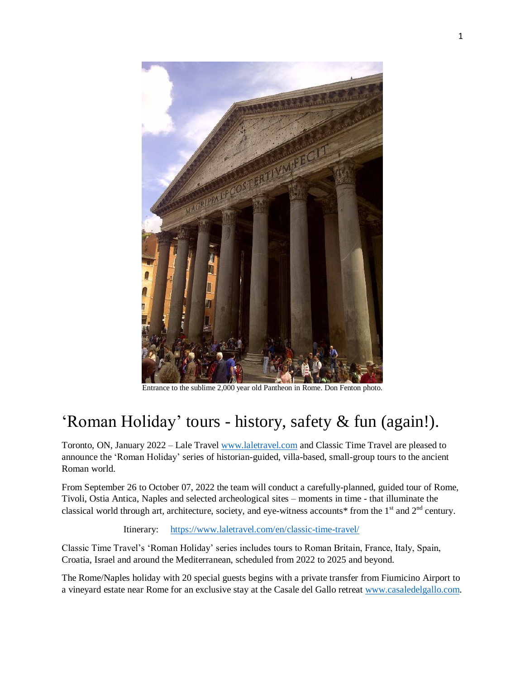

Entrance to the sublime 2,000 year old Pantheon in Rome. Don Fenton photo.

## 'Roman Holiday' tours - history, safety & fun (again!).

Toronto, ON, January 2022 – Lale Travel [www.laletravel.com](http://www.laletravel.com/) and Classic Time Travel are pleased to announce the 'Roman Holiday' series of historian-guided, villa-based, small-group tours to the ancient Roman world.

From September 26 to October 07, 2022 the team will conduct a carefully-planned, guided tour of Rome, Tivoli, Ostia Antica, Naples and selected archeological sites – moments in time - that illuminate the classical world through art, architecture, society, and eye-witness accounts\* from the  $1<sup>st</sup>$  and  $2<sup>nd</sup>$  century.

Itinerary: <https://www.laletravel.com/en/classic-time-travel/>

Classic Time Travel's 'Roman Holiday' series includes tours to Roman Britain, France, Italy, Spain, Croatia, Israel and around the Mediterranean, scheduled from 2022 to 2025 and beyond.

The Rome/Naples holiday with 20 special guests begins with a private transfer from Fiumicino Airport to a vineyard estate near Rome for an exclusive stay at the Casale del Gallo retreat [www.casaledelgallo.com.](http://www.casaledelgallo.com/)